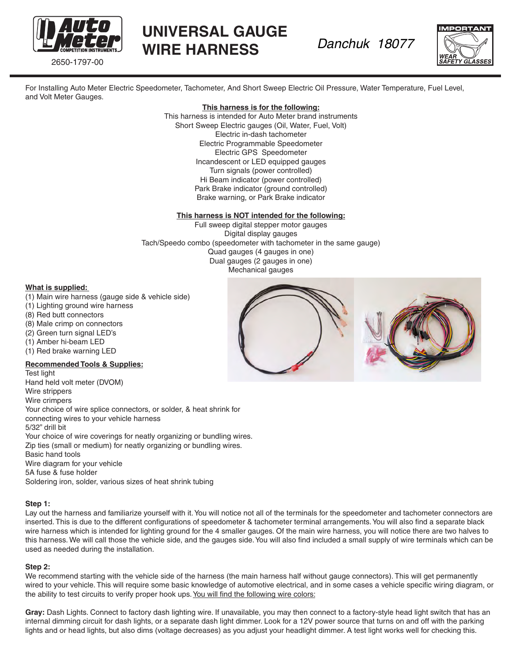

2650-1797-00

# **UNIVERSAL GAUGE WIRE HARNESS**

*Danchuk 18077* 

For Installing Auto Meter Electric Speedometer, Tachometer, And Short Sweep Electric Oil Pressure, Water Temperature, Fuel Level, and Volt Meter Gauges.

#### **This harness is for the following:**

This harness is intended for Auto Meter brand instruments Short Sweep Electric gauges (Oil, Water, Fuel, Volt) Electric in-dash tachometer Electric Programmable Speedometer Electric GPS Speedometer Incandescent or LED equipped gauges Turn signals (power controlled) Hi Beam indicator (power controlled) Park Brake indicator (ground controlled) Brake warning, or Park Brake indicator

#### **This harness is NOT intended for the following:**

Full sweep digital stepper motor gauges Digital display gauges Tach/Speedo combo (speedometer with tachometer in the same gauge) Quad gauges (4 gauges in one) Dual gauges (2 gauges in one) Mechanical gauges

#### **What is supplied:**

- (1) Main wire harness (gauge side & vehicle side)
- (1) Lighting ground wire harness
- (8) Red butt connectors
- (8) Male crimp on connectors
- (2) Green turn signal LED's
- (1) Amber hi-beam LED
- (1) Red brake warning LED

# **Recommended Tools & Supplies:**

Test light Hand held volt meter (DVOM) Wire strippers Wire crimpers Your choice of wire splice connectors, or solder, & heat shrink for connecting wires to your vehicle harness 5/32" drill bit Your choice of wire coverings for neatly organizing or bundling wires. Zip ties (small or medium) for neatly organizing or bundling wires. Basic hand tools Wire diagram for your vehicle 5A fuse & fuse holder Soldering iron, solder, various sizes of heat shrink tubing

#### **Step 1:**

Lay out the harness and familiarize yourself with it. You will notice not all of the terminals for the speedometer and tachometer connectors are inserted. This is due to the different configurations of speedometer & tachometer terminal arrangements. You will also find a separate black wire harness which is intended for lighting ground for the 4 smaller gauges. Of the main wire harness, you will notice there are two halves to this harness. We will call those the vehicle side, and the gauges side. You will also find included a small supply of wire terminals which can be used as needed during the installation.

#### **Step 2:**

We recommend starting with the vehicle side of the harness (the main harness half without gauge connectors). This will get permanently wired to your vehicle. This will require some basic knowledge of automotive electrical, and in some cases a vehicle specific wiring diagram, or the ability to test circuits to verify proper hook ups. You will find the following wire colors:

**Gray:** Dash Lights. Connect to factory dash lighting wire. If unavailable, you may then connect to a factory-style head light switch that has an internal dimming circuit for dash lights, or a separate dash light dimmer. Look for a 12V power source that turns on and off with the parking lights and or head lights, but also dims (voltage decreases) as you adjust your headlight dimmer. A test light works well for checking this.

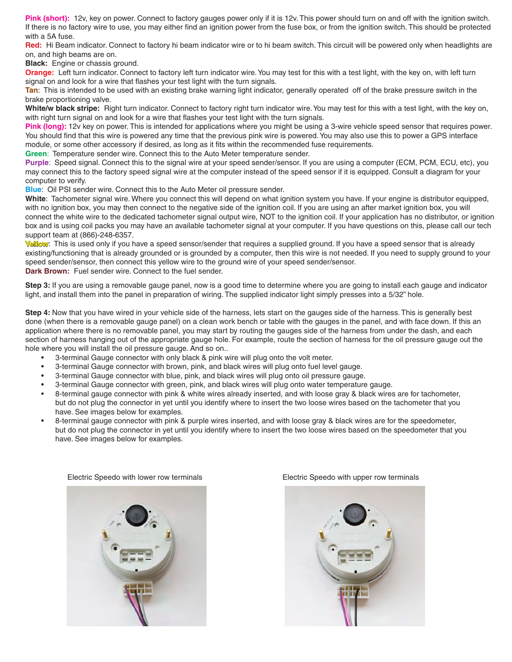**Pink (short):** 12v, key on power. Connect to factory gauges power only if it is 12v. This power should turn on and off with the ignition switch. If there is no factory wire to use, you may either find an ignition power from the fuse box, or from the ignition switch. This should be protected with a 5A fuse.

Red: Hi Beam indicator. Connect to factory hi beam indicator wire or to hi beam switch. This circuit will be powered only when headlights are on, and high beams are on.

**Black:** Engine or chassis ground.

**Orange:** Left turn indicator. Connect to factory left turn indicator wire. You may test for this with a test light, with the key on, with left turn signal on and look for a wire that flashes your test light with the turn signals.

**Tan**: This is intended to be used with an existing brake warning light indicator, generally operated off of the brake pressure switch in the brake proportioning valve.

**White/w black stripe:** Right turn indicator. Connect to factory right turn indicator wire. You may test for this with a test light, with the key on, with right turn signal on and look for a wire that flashes your test light with the turn signals.

Pink (long): 12v key on power. This is intended for applications where you might be using a 3-wire vehicle speed sensor that requires power. You should find that this wire is powered any time that the previous pink wire is powered. You may also use this to power a GPS interface module, or some other accessory if desired, as long as it fits within the recommended fuse requirements.

**Green**: Temperature sender wire. Connect this to the Auto Meter temperature sender.

**Purple**: Speed signal. Connect this to the signal wire at your speed sender/sensor. If you are using a computer (ECM, PCM, ECU, etc), you may connect this to the factory speed signal wire at the computer instead of the speed sensor if it is equipped. Consult a diagram for your computer to verify.

**Blue**: Oil PSI sender wire. Connect this to the Auto Meter oil pressure sender.

**White**: Tachometer signal wire. Where you connect this will depend on what ignition system you have. If your engine is distributor equipped, with no ignition box, you may then connect to the negative side of the ignition coil. If you are using an after market ignition box, you will connect the white wire to the dedicated tachometer signal output wire, NOT to the ignition coil. If your application has no distributor, or ignition box and is using coil packs you may have an available tachometer signal at your computer. If you have questions on this, please call our tech support team at (866)-248-6357.

**Yellow**: This is used only if you have a speed sensor/sender that requires a supplied ground. If you have a speed sensor that is already existing/functioning that is already grounded or is grounded by a computer, then this wire is not needed. If you need to supply ground to your speed sender/sensor, then connect this yellow wire to the ground wire of your speed sender/sensor. **Dark Brown:** Fuel sender wire. Connect to the fuel sender.

**Step 3:** If you are using a removable gauge panel, now is a good time to determine where you are going to install each gauge and indicator light, and install them into the panel in preparation of wiring. The supplied indicator light simply presses into a 5/32" hole.

**Step 4:** Now that you have wired in your vehicle side of the harness, lets start on the gauges side of the harness. This is generally best done (when there is a removable gauge panel) on a clean work bench or table with the gauges in the panel, and with face down. If this an application where there is no removable panel, you may start by routing the gauges side of the harness from under the dash, and each section of harness hanging out of the appropriate gauge hole. For example, route the section of harness for the oil pressure gauge out the hole where you will install the oil pressure gauge. And so on..

- 3-terminal Gauge connector with only black & pink wire will plug onto the volt meter.
- 3-terminal Gauge connector with brown, pink, and black wires will plug onto fuel level gauge.
- 3-terminal Gauge connector with blue, pink, and black wires will plug onto oil pressure gauge.
- 3-terminal Gauge connector with green, pink, and black wires will plug onto water temperature gauge.
- 8-terminal gauge connector with pink & white wires already inserted, and with loose gray & black wires are for tachometer, but do not plug the connector in yet until you identify where to insert the two loose wires based on the tachometer that you have. See images below for examples.
- 8-terminal gauge connector with pink & purple wires inserted, and with loose gray & black wires are for the speedometer, but do not plug the connector in yet until you identify where to insert the two loose wires based on the speedometer that you have. See images below for examples.





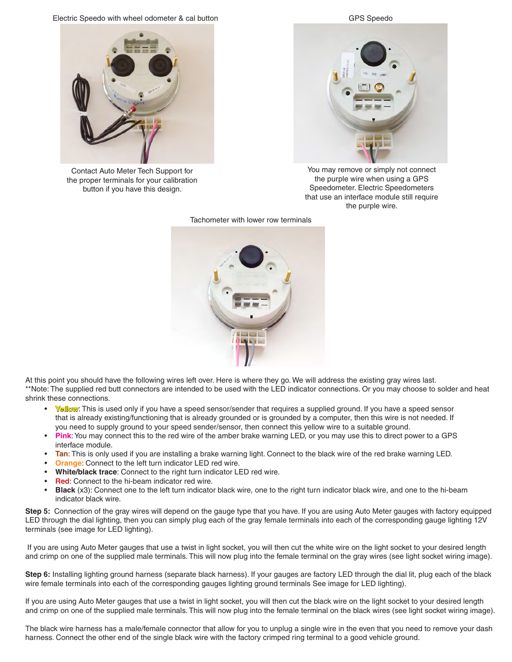Electric Speedo with wheel odometer & cal button



Contact Auto Meter Tech Support for the proper terminals for your calibration button if you have this design.



You may remove or simply not connect the purple wire when using a GPS Speedometer. Electric Speedometers that use an interface module still require the purple wire.

Tachometer with lower row terminals



At this point you should have the following wires left over. Here is where they go. We will address the existing gray wires last. \*\*Note: The supplied red butt connectors are intended to be used with the LED indicator connections. Or you may choose to solder and heat shrink these connections.

- **Yellow**: This is used only if you have a speed sensor/sender that requires a supplied ground. If you have a speed sensor that is already existing/functioning that is already grounded or is grounded by a computer, then this wire is not needed. If you need to supply ground to your speed sender/sensor, then connect this yellow wire to a suitable ground.
- **Pink**: You may connect this to the red wire of the amber brake warning LED, or you may use this to direct power to a GPS interface module.
- **Tan**: This is only used if you are installing a brake warning light. Connect to the black wire of the red brake warning LED.
- **Orange:** Connect to the left turn indicator LED red wire.
- **White/black trace**: Connect to the right turn indicator LED red wire.
- **Red:** Connect to the hi-beam indicator red wire.
- **Black** (x3): Connect one to the left turn indicator black wire, one to the right turn indicator black wire, and one to the hi-beam indicator black wire.

**Step 5:** Connection of the gray wires will depend on the gauge type that you have. If you are using Auto Meter gauges with factory equipped LED through the dial lighting, then you can simply plug each of the gray female terminals into each of the corresponding gauge lighting 12V terminals (see image for LED lighting).

 If you are using Auto Meter gauges that use a twist in light socket, you will then cut the white wire on the light socket to your desired length and crimp on one of the supplied male terminals. This will now plug into the female terminal on the gray wires (see light socket wiring image).

**Step 6:** Installing lighting ground harness (separate black harness). If your gauges are factory LED through the dial lit, plug each of the black wire female terminals into each of the corresponding gauges lighting ground terminals See image for LED lighting).

If you are using Auto Meter gauges that use a twist in light socket, you will then cut the black wire on the light socket to your desired length and crimp on one of the supplied male terminals. This will now plug into the female terminal on the black wires (see light socket wiring image).

The black wire harness has a male/female connector that allow for you to unplug a single wire in the even that you need to remove your dash harness. Connect the other end of the single black wire with the factory crimped ring terminal to a good vehicle ground.

GPS Speedo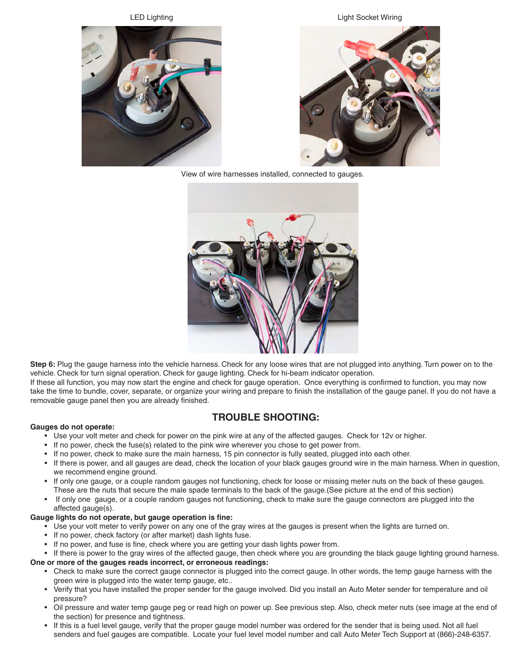LED Lighting

Light Socket Wiring



View of wire harnesses installed, connected to gauges.



**Step 6:** Plug the gauge harness into the vehicle harness. Check for any loose wires that are not plugged into anything. Turn power on to the vehicle. Check for turn signal operation. Check for gauge lighting. Check for hi-beam indicator operation.

If these all function, you may now start the engine and check for gauge operation. Once everything is confirmed to function, you may now take the time to bundle, cover, separate, or organize your wiring and prepare to finish the installation of the gauge panel. If you do not have a removable gauge panel then you are already finished.

# **TROUBLE SHOOTING:**

## **Gauges do not operate:**

- Use your volt meter and check for power on the pink wire at any of the affected gauges. Check for 12v or higher.
- If no power, check the fuse(s) related to the pink wire wherever you chose to get power from.
- If no power, check to make sure the main harness, 15 pin connector is fully seated, plugged into each other.
- If there is power, and all gauges are dead, check the location of your black gauges ground wire in the main harness. When in question, we recommend engine ground.
- If only one gauge, or a couple random gauges not functioning, check for loose or missing meter nuts on the back of these gauges. These are the nuts that secure the male spade terminals to the back of the gauge.(See picture at the end of this section)
- If only one gauge, or a couple random gauges not functioning, check to make sure the gauge connectors are plugged into the affected gauge(s).

#### **Gauge lights do not operate, but gauge operation is fine:**

- Use your volt meter to verify power on any one of the gray wires at the gauges is present when the lights are turned on.
- If no power, check factory (or after market) dash lights fuse.
- If no power, and fuse is fine, check where you are getting your dash lights power from.

• If there is power to the gray wires of the affected gauge, then check where you are grounding the black gauge lighting ground harness.

#### **One or more of the gauges reads incorrect, or erroneous readings:**

- Check to make sure the correct gauge connector is plugged into the correct gauge. In other words, the temp gauge harness with the green wire is plugged into the water temp gauge, etc..
- Verify that you have installed the proper sender for the gauge involved. Did you install an Auto Meter sender for temperature and oil pressure?
- Oil pressure and water temp gauge peg or read high on power up. See previous step. Also, check meter nuts (see image at the end of the section) for presence and tightness.
- If this is a fuel level gauge, verify that the proper gauge model number was ordered for the sender that is being used. Not all fuel senders and fuel gauges are compatible. Locate your fuel level model number and call Auto Meter Tech Support at (866)-248-6357.